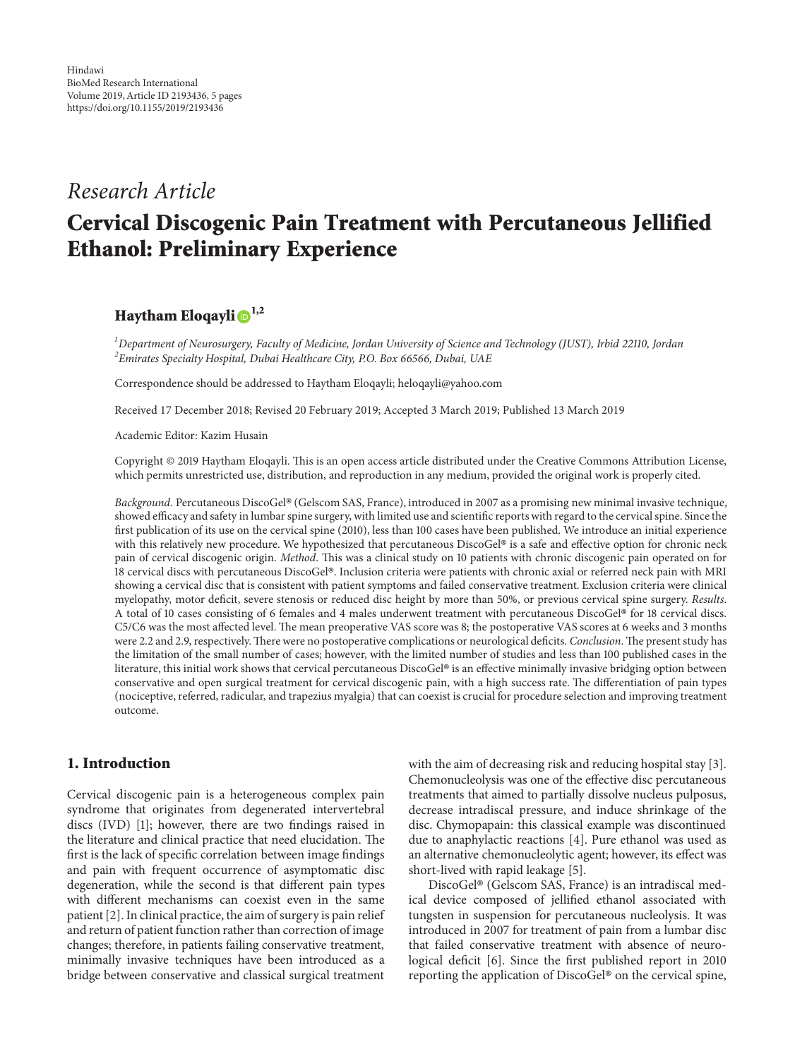# *Research Article* **Cervical Discogenic Pain Treatment with Percutaneous Jellified Ethanol: Preliminary Experience**

# **Haytham Eloqayl[i](http://orcid.org/0000-0003-0021-0887) 1,2**

*1 Department of Neurosurgery, Faculty of Medicine, Jordan University of Science and Technology (JUST), Irbid 22110, Jordan 2 Emirates Specialty Hospital, Dubai Healthcare City, P.O. Box 66566, Dubai, UAE*

Correspondence should be addressed to Haytham Eloqayli; heloqayli@yahoo.com

Received 17 December 2018; Revised 20 February 2019; Accepted 3 March 2019; Published 13 March 2019

Academic Editor: Kazim Husain

Copyright © 2019 Haytham Eloqayli. Tis is an open access article distributed under the [Creative Commons Attribution License,](https://creativecommons.org/licenses/by/4.0/) which permits unrestricted use, distribution, and reproduction in any medium, provided the original work is properly cited.

Background. Percutaneous DiscoGel® (Gelscom SAS, France), introduced in 2007 as a promising new minimal invasive technique, showed efficacy and safety in lumbar spine surgery, with limited use and scientific reports with regard to the cervical spine. Since the frst publication of its use on the cervical spine (2010), less than 100 cases have been published. We introduce an initial experience with this relatively new procedure. We hypothesized that percutaneous DiscoGel® is a safe and effective option for chronic neck pain of cervical discogenic origin. *Method*. Tis was a clinical study on 10 patients with chronic discogenic pain operated on for 18 cervical discs with percutaneous DiscoGel®. Inclusion criteria were patients with chronic axial or referred neck pain with MRI showing a cervical disc that is consistent with patient symptoms and failed conservative treatment. Exclusion criteria were clinical myelopathy, motor defcit, severe stenosis or reduced disc height by more than 50%, or previous cervical spine surgery. *Results*. A total of 10 cases consisting of 6 females and 4 males underwent treatment with percutaneous DiscoGel® for 18 cervical discs. C5/C6 was the most affected level. The mean preoperative VAS score was 8; the postoperative VAS scores at 6 weeks and 3 months were 2.2 and 2.9, respectively. There were no postoperative complications or neurological deficits. *Conclusion*. The present study has the limitation of the small number of cases; however, with the limited number of studies and less than 100 published cases in the literature, this initial work shows that cervical percutaneous DiscoGel® is an effective minimally invasive bridging option between conservative and open surgical treatment for cervical discogenic pain, with a high success rate. Te diferentiation of pain types (nociceptive, referred, radicular, and trapezius myalgia) that can coexist is crucial for procedure selection and improving treatment outcome.

# **1. Introduction**

Cervical discogenic pain is a heterogeneous complex pain syndrome that originates from degenerated intervertebral discs (IVD) [\[1\]](#page-3-0); however, there are two fndings raised in the literature and clinical practice that need elucidation. The frst is the lack of specifc correlation between image fndings and pain with frequent occurrence of asymptomatic disc degeneration, while the second is that diferent pain types with diferent mechanisms can coexist even in the same patient [\[2\]](#page-3-1). In clinical practice, the aim of surgery is pain relief and return of patient function rather than correction of image changes; therefore, in patients failing conservative treatment, minimally invasive techniques have been introduced as a bridge between conservative and classical surgical treatment

with the aim of decreasing risk and reducing hospital stay [\[3\]](#page-3-2). Chemonucleolysis was one of the efective disc percutaneous treatments that aimed to partially dissolve nucleus pulposus, decrease intradiscal pressure, and induce shrinkage of the disc. Chymopapain: this classical example was discontinued due to anaphylactic reactions [\[4](#page-3-3)]. Pure ethanol was used as an alternative chemonucleolytic agent; however, its efect was short-lived with rapid leakage [\[5](#page-3-4)].

DiscoGel® (Gelscom SAS, France) is an intradiscal medical device composed of jellifed ethanol associated with tungsten in suspension for percutaneous nucleolysis. It was introduced in 2007 for treatment of pain from a lumbar disc that failed conservative treatment with absence of neuro-logical deficit [\[6\]](#page-3-5). Since the first published report in 2010 reporting the application of DiscoGel® on the cervical spine,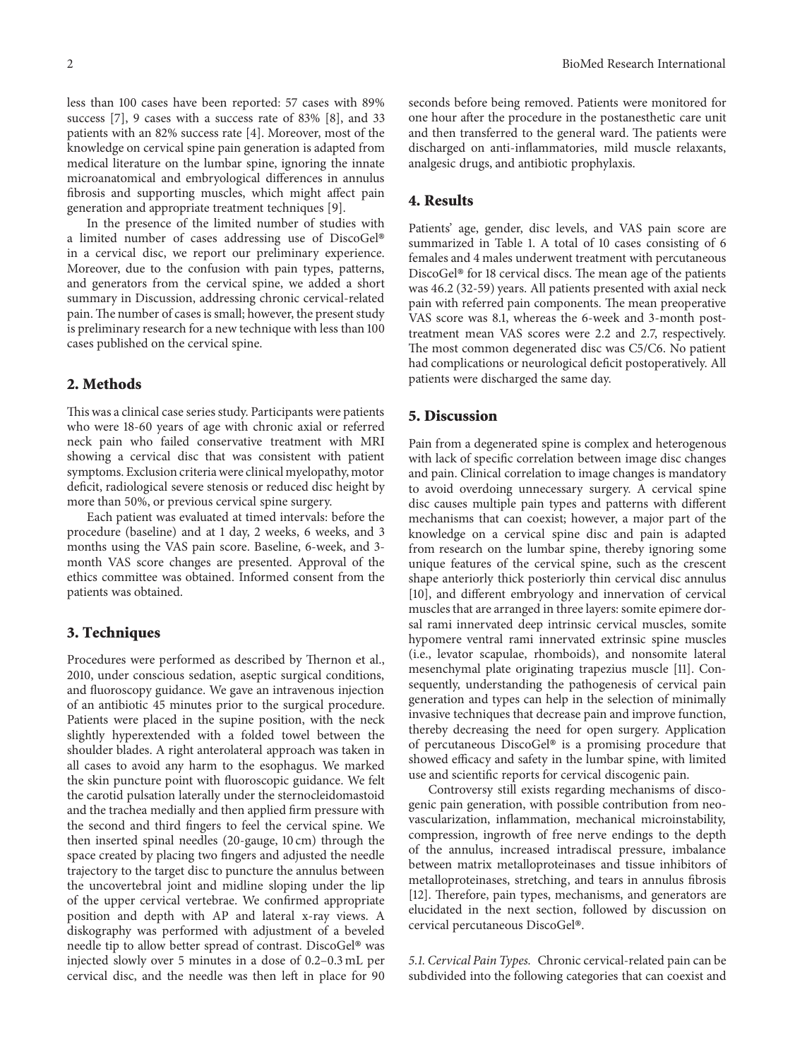less than 100 cases have been reported: 57 cases with 89% success [\[7](#page-3-6)], 9 cases with a success rate of 83% [\[8\]](#page-3-7), and 33 patients with an 82% success rate [\[4\]](#page-3-3). Moreover, most of the knowledge on cervical spine pain generation is adapted from medical literature on the lumbar spine, ignoring the innate microanatomical and embryological diferences in annulus fbrosis and supporting muscles, which might afect pain generation and appropriate treatment techniques [\[9\]](#page-3-8).

In the presence of the limited number of studies with a limited number of cases addressing use of DiscoGel® in a cervical disc, we report our preliminary experience. Moreover, due to the confusion with pain types, patterns, and generators from the cervical spine, we added a short summary in Discussion, addressing chronic cervical-related pain. The number of cases is small; however, the present study is preliminary research for a new technique with less than 100 cases published on the cervical spine.

#### **2. Methods**

This was a clinical case series study. Participants were patients who were 18-60 years of age with chronic axial or referred neck pain who failed conservative treatment with MRI showing a cervical disc that was consistent with patient symptoms. Exclusion criteria were clinical myelopathy, motor deficit, radiological severe stenosis or reduced disc height by more than 50%, or previous cervical spine surgery.

Each patient was evaluated at timed intervals: before the procedure (baseline) and at 1 day, 2 weeks, 6 weeks, and 3 months using the VAS pain score. Baseline, 6-week, and 3 month VAS score changes are presented. Approval of the ethics committee was obtained. Informed consent from the patients was obtained.

#### **3. Techniques**

Procedures were performed as described by Thernon et al., 2010, under conscious sedation, aseptic surgical conditions, and fuoroscopy guidance. We gave an intravenous injection of an antibiotic 45 minutes prior to the surgical procedure. Patients were placed in the supine position, with the neck slightly hyperextended with a folded towel between the shoulder blades. A right anterolateral approach was taken in all cases to avoid any harm to the esophagus. We marked the skin puncture point with fuoroscopic guidance. We felt the carotid pulsation laterally under the sternocleidomastoid and the trachea medially and then applied frm pressure with the second and third fngers to feel the cervical spine. We then inserted spinal needles (20-gauge, 10 cm) through the space created by placing two fngers and adjusted the needle trajectory to the target disc to puncture the annulus between the uncovertebral joint and midline sloping under the lip of the upper cervical vertebrae. We confrmed appropriate position and depth with AP and lateral x-ray views. A diskography was performed with adjustment of a beveled needle tip to allow better spread of contrast. DiscoGel® was injected slowly over 5 minutes in a dose of 0.2–0.3 mL per cervical disc, and the needle was then left in place for 90

seconds before being removed. Patients were monitored for one hour afer the procedure in the postanesthetic care unit and then transferred to the general ward. The patients were discharged on anti-infammatories, mild muscle relaxants, analgesic drugs, and antibiotic prophylaxis.

## **4. Results**

Patients' age, gender, disc levels, and VAS pain score are summarized in Table [1.](#page-2-0) A total of 10 cases consisting of 6 females and 4 males underwent treatment with percutaneous DiscoGel® for 18 cervical discs. The mean age of the patients was 46.2 (32-59) years. All patients presented with axial neck pain with referred pain components. The mean preoperative VAS score was 8.1, whereas the 6-week and 3-month posttreatment mean VAS scores were 2.2 and 2.7, respectively. The most common degenerated disc was C5/C6. No patient had complications or neurological deficit postoperatively. All patients were discharged the same day.

## **5. Discussion**

Pain from a degenerated spine is complex and heterogenous with lack of specifc correlation between image disc changes and pain. Clinical correlation to image changes is mandatory to avoid overdoing unnecessary surgery. A cervical spine disc causes multiple pain types and patterns with diferent mechanisms that can coexist; however, a major part of the knowledge on a cervical spine disc and pain is adapted from research on the lumbar spine, thereby ignoring some unique features of the cervical spine, such as the crescent shape anteriorly thick posteriorly thin cervical disc annulus [\[10](#page-3-9)], and diferent embryology and innervation of cervical muscles that are arranged in three layers: somite epimere dorsal rami innervated deep intrinsic cervical muscles, somite hypomere ventral rami innervated extrinsic spine muscles (i.e., levator scapulae, rhomboids), and nonsomite lateral mesenchymal plate originating trapezius muscle [\[11\]](#page-3-10). Consequently, understanding the pathogenesis of cervical pain generation and types can help in the selection of minimally invasive techniques that decrease pain and improve function, thereby decreasing the need for open surgery. Application of percutaneous DiscoGel® is a promising procedure that showed efficacy and safety in the lumbar spine, with limited use and scientifc reports for cervical discogenic pain.

Controversy still exists regarding mechanisms of discogenic pain generation, with possible contribution from neovascularization, infammation, mechanical microinstability, compression, ingrowth of free nerve endings to the depth of the annulus, increased intradiscal pressure, imbalance between matrix metalloproteinases and tissue inhibitors of metalloproteinases, stretching, and tears in annulus fbrosis [\[12](#page-3-11)]. Therefore, pain types, mechanisms, and generators are elucidated in the next section, followed by discussion on cervical percutaneous DiscoGel®.

*5.1. Cervical Pain Types.* Chronic cervical-related pain can be subdivided into the following categories that can coexist and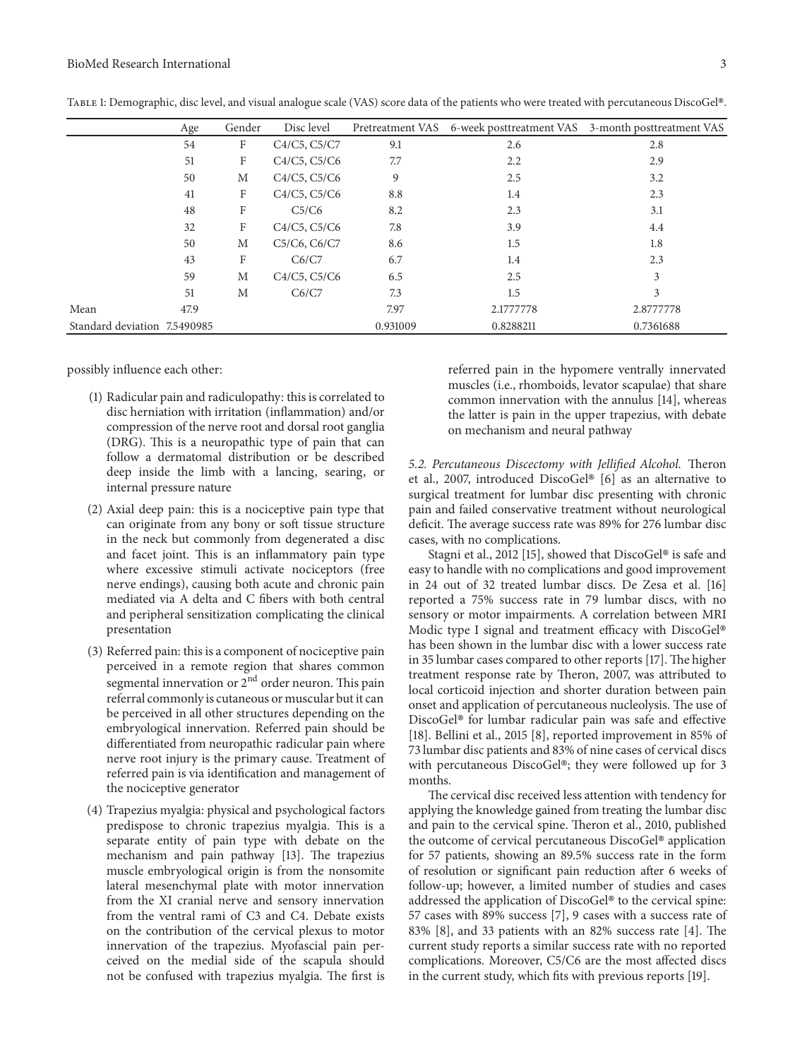<span id="page-2-0"></span>

|                              | Age  | Gender | Disc level   |          |           | Pretreatment VAS 6-week posttreatment VAS 3-month posttreatment VAS |
|------------------------------|------|--------|--------------|----------|-----------|---------------------------------------------------------------------|
|                              | 54   | F      | C4/C5, C5/C7 | 9.1      | 2.6       | 2.8                                                                 |
|                              | 51   | F      | C4/C5, C5/C6 | 7.7      | 2.2       | 2.9                                                                 |
|                              | 50   | M      | C4/C5, C5/C6 | 9        | 2.5       | 3.2                                                                 |
|                              | 41   | F      | C4/C5, C5/C6 | 8.8      | 1.4       | 2.3                                                                 |
|                              | 48   | F      | C5/C6        | 8.2      | 2.3       | 3.1                                                                 |
|                              | 32   | F      | C4/C5, C5/C6 | 7.8      | 3.9       | 4.4                                                                 |
|                              | 50   | M      | C5/C6, C6/C7 | 8.6      | 1.5       | 1.8                                                                 |
|                              | 43   | F      | C6/C7        | 6.7      | 1.4       | 2.3                                                                 |
|                              | 59   | M      | C4/C5, C5/C6 | 6.5      | 2.5       | 3                                                                   |
|                              | 51   | M      | C6/C7        | 7.3      | 1.5       | 3                                                                   |
| Mean                         | 47.9 |        |              | 7.97     | 2.1777778 | 2.8777778                                                           |
| Standard deviation 7.5490985 |      |        |              | 0.931009 | 0.8288211 | 0.7361688                                                           |

Table 1: Demographic, disc level, and visual analogue scale (VAS) score data of the patients who were treated with percutaneous DiscoGel®.

possibly infuence each other:

- (1) Radicular pain and radiculopathy: this is correlated to disc herniation with irritation (infammation) and/or compression of the nerve root and dorsal root ganglia (DRG). This is a neuropathic type of pain that can follow a dermatomal distribution or be described deep inside the limb with a lancing, searing, or internal pressure nature
- (2) Axial deep pain: this is a nociceptive pain type that can originate from any bony or soft tissue structure in the neck but commonly from degenerated a disc and facet joint. This is an inflammatory pain type where excessive stimuli activate nociceptors (free nerve endings), causing both acute and chronic pain mediated via A delta and C fbers with both central and peripheral sensitization complicating the clinical presentation
- (3) Referred pain: this is a component of nociceptive pain perceived in a remote region that shares common segmental innervation or  $2<sup>nd</sup>$  order neuron. This pain referral commonly is cutaneous or muscular but it can be perceived in all other structures depending on the embryological innervation. Referred pain should be diferentiated from neuropathic radicular pain where nerve root injury is the primary cause. Treatment of referred pain is via identifcation and management of the nociceptive generator
- (4) Trapezius myalgia: physical and psychological factors predispose to chronic trapezius myalgia. This is a separate entity of pain type with debate on the mechanism and pain pathway [\[13\]](#page-4-0). The trapezius muscle embryological origin is from the nonsomite lateral mesenchymal plate with motor innervation from the XI cranial nerve and sensory innervation from the ventral rami of C3 and C4. Debate exists on the contribution of the cervical plexus to motor innervation of the trapezius. Myofascial pain perceived on the medial side of the scapula should not be confused with trapezius myalgia. The first is

referred pain in the hypomere ventrally innervated muscles (i.e., rhomboids, levator scapulae) that share common innervation with the annulus [\[14](#page-4-1)], whereas the latter is pain in the upper trapezius, with debate on mechanism and neural pathway

5.2. Percutaneous Discectomy with Jellified Alcohol. Theron et al., 2007, introduced DiscoGel® [\[6\]](#page-3-5) as an alternative to surgical treatment for lumbar disc presenting with chronic pain and failed conservative treatment without neurological deficit. The average success rate was 89% for 276 lumbar disc cases, with no complications.

Stagni et al., 2012 [\[15](#page-4-2)], showed that DiscoGel® is safe and easy to handle with no complications and good improvement in 24 out of 32 treated lumbar discs. De Zesa et al. [\[16](#page-4-3)] reported a 75% success rate in 79 lumbar discs, with no sensory or motor impairments. A correlation between MRI Modic type I signal and treatment efficacy with DiscoGel® has been shown in the lumbar disc with a lower success rate in 35 lumbar cases compared to other reports [\[17\]](#page-4-4). The higher treatment response rate by Theron, 2007, was attributed to local corticoid injection and shorter duration between pain onset and application of percutaneous nucleolysis. The use of DiscoGel® for lumbar radicular pain was safe and effective [\[18](#page-4-5)]. Bellini et al., 2015 [\[8](#page-3-7)], reported improvement in 85% of 73 lumbar disc patients and 83% of nine cases of cervical discs with percutaneous DiscoGel®; they were followed up for 3 months.

The cervical disc received less attention with tendency for applying the knowledge gained from treating the lumbar disc and pain to the cervical spine. Theron et al., 2010, published the outcome of cervical percutaneous DiscoGel® application for 57 patients, showing an 89.5% success rate in the form of resolution or signifcant pain reduction afer 6 weeks of follow-up; however, a limited number of studies and cases addressed the application of DiscoGel® to the cervical spine: 57 cases with 89% success [\[7\]](#page-3-6), 9 cases with a success rate of 83%  $[8]$ , and 33 patients with an 82% success rate  $[4]$ . The current study reports a similar success rate with no reported complications. Moreover, C5/C6 are the most afected discs in the current study, which fts with previous reports [\[19\]](#page-4-6).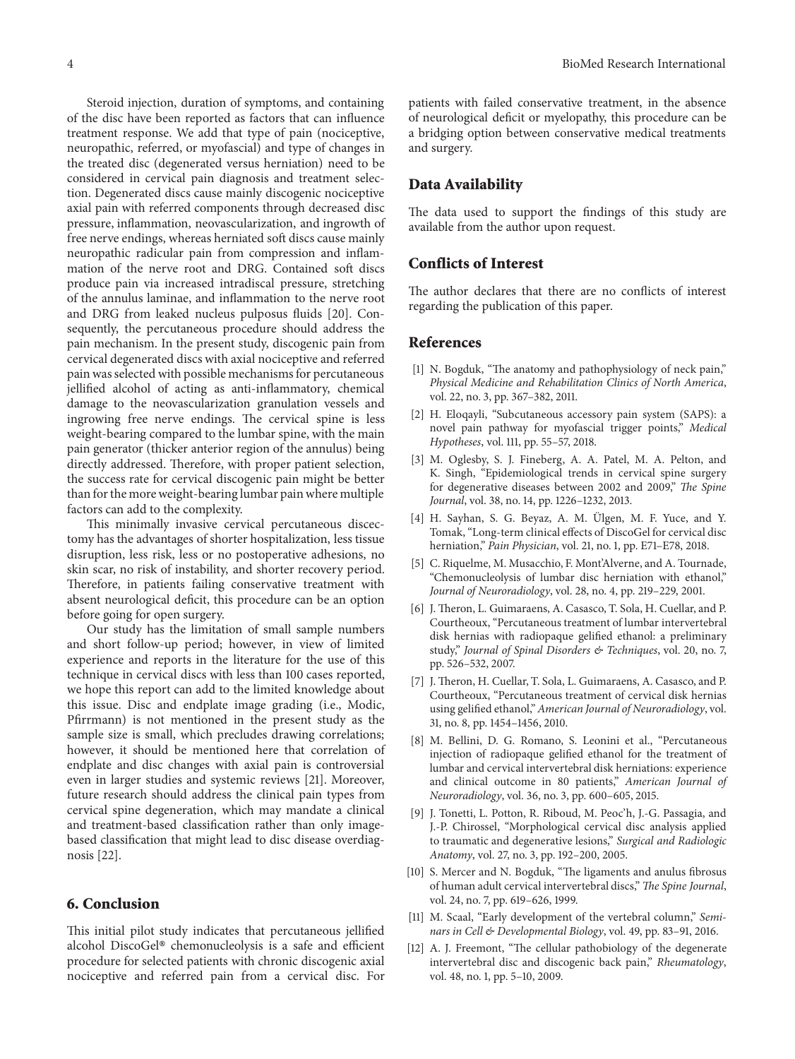Steroid injection, duration of symptoms, and containing of the disc have been reported as factors that can infuence treatment response. We add that type of pain (nociceptive, neuropathic, referred, or myofascial) and type of changes in the treated disc (degenerated versus herniation) need to be considered in cervical pain diagnosis and treatment selection. Degenerated discs cause mainly discogenic nociceptive axial pain with referred components through decreased disc pressure, infammation, neovascularization, and ingrowth of free nerve endings, whereas herniated soft discs cause mainly neuropathic radicular pain from compression and infammation of the nerve root and DRG. Contained soft discs produce pain via increased intradiscal pressure, stretching of the annulus laminae, and infammation to the nerve root and DRG from leaked nucleus pulposus fuids [\[20](#page-4-7)]. Consequently, the percutaneous procedure should address the pain mechanism. In the present study, discogenic pain from cervical degenerated discs with axial nociceptive and referred pain was selected with possible mechanisms for percutaneous jellifed alcohol of acting as anti-infammatory, chemical damage to the neovascularization granulation vessels and ingrowing free nerve endings. The cervical spine is less weight-bearing compared to the lumbar spine, with the main pain generator (thicker anterior region of the annulus) being directly addressed. Therefore, with proper patient selection, the success rate for cervical discogenic pain might be better than for the more weight-bearing lumbar pain where multiple factors can add to the complexity.

This minimally invasive cervical percutaneous discectomy has the advantages of shorter hospitalization, less tissue disruption, less risk, less or no postoperative adhesions, no skin scar, no risk of instability, and shorter recovery period. Therefore, in patients failing conservative treatment with absent neurological deficit, this procedure can be an option before going for open surgery.

Our study has the limitation of small sample numbers and short follow-up period; however, in view of limited experience and reports in the literature for the use of this technique in cervical discs with less than 100 cases reported, we hope this report can add to the limited knowledge about this issue. Disc and endplate image grading (i.e., Modic, Pfrrmann) is not mentioned in the present study as the sample size is small, which precludes drawing correlations; however, it should be mentioned here that correlation of endplate and disc changes with axial pain is controversial even in larger studies and systemic reviews [\[21](#page-4-8)]. Moreover, future research should address the clinical pain types from cervical spine degeneration, which may mandate a clinical and treatment-based classifcation rather than only imagebased classifcation that might lead to disc disease overdiagnosis [\[22](#page-4-9)].

#### **6. Conclusion**

This initial pilot study indicates that percutaneous jellified alcohol DiscoGel® chemonucleolysis is a safe and efficient procedure for selected patients with chronic discogenic axial nociceptive and referred pain from a cervical disc. For patients with failed conservative treatment, in the absence of neurological defcit or myelopathy, this procedure can be a bridging option between conservative medical treatments and surgery.

## **Data Availability**

The data used to support the findings of this study are available from the author upon request.

## **Conflicts of Interest**

The author declares that there are no conflicts of interest regarding the publication of this paper.

## **References**

- <span id="page-3-0"></span>[1] N. Bogduk, "The anatomy and pathophysiology of neck pain," *Physical Medicine and Rehabilitation Clinics of North America*, vol. 22, no. 3, pp. 367–382, 2011.
- <span id="page-3-1"></span>[2] H. Eloqayli, "Subcutaneous accessory pain system (SAPS): a novel pain pathway for myofascial trigger points," *Medical Hypotheses*, vol. 111, pp. 55–57, 2018.
- <span id="page-3-2"></span>[3] M. Oglesby, S. J. Fineberg, A. A. Patel, M. A. Pelton, and K. Singh, "Epidemiological trends in cervical spine surgery for degenerative diseases between 2002 and 2009," *The Spine Journal*, vol. 38, no. 14, pp. 1226–1232, 2013.
- <span id="page-3-3"></span>[4] H. Sayhan, S. G. Beyaz, A. M. Ülgen, M. F. Yuce, and Y. Tomak, "Long-term clinical efects of DiscoGel for cervical disc herniation," *Pain Physician*, vol. 21, no. 1, pp. E71–E78, 2018.
- <span id="page-3-4"></span>[5] C. Riquelme, M. Musacchio, F. Mont'Alverne, and A. Tournade, "Chemonucleolysis of lumbar disc herniation with ethanol," *Journal of Neuroradiology*, vol. 28, no. 4, pp. 219–229, 2001.
- <span id="page-3-5"></span>[6] J. Theron, L. Guimaraens, A. Casasco, T. Sola, H. Cuellar, and P. Courtheoux, "Percutaneous treatment of lumbar intervertebral disk hernias with radiopaque gelifed ethanol: a preliminary study," *Journal of Spinal Disorders & Techniques*, vol. 20, no. 7, pp. 526–532, 2007.
- <span id="page-3-6"></span>[7] J. Theron, H. Cuellar, T. Sola, L. Guimaraens, A. Casasco, and P. Courtheoux, "Percutaneous treatment of cervical disk hernias using gelifed ethanol," *American Journal of Neuroradiology*, vol. 31, no. 8, pp. 1454–1456, 2010.
- <span id="page-3-7"></span>[8] M. Bellini, D. G. Romano, S. Leonini et al., "Percutaneous injection of radiopaque gelifed ethanol for the treatment of lumbar and cervical intervertebral disk herniations: experience and clinical outcome in 80 patients," *American Journal of Neuroradiology*, vol. 36, no. 3, pp. 600–605, 2015.
- <span id="page-3-8"></span>[9] J. Tonetti, L. Potton, R. Riboud, M. Peoc'h, J.-G. Passagia, and J.-P. Chirossel, "Morphological cervical disc analysis applied to traumatic and degenerative lesions," *Surgical and Radiologic Anatomy*, vol. 27, no. 3, pp. 192–200, 2005.
- <span id="page-3-9"></span>[10] S. Mercer and N. Bogduk, "The ligaments and anulus fibrosus of human adult cervical intervertebral discs," The Spine Journal, vol. 24, no. 7, pp. 619–626, 1999.
- <span id="page-3-10"></span>[11] M. Scaal, "Early development of the vertebral column," *Seminars in Cell & Developmental Biology*, vol. 49, pp. 83–91, 2016.
- <span id="page-3-11"></span>[12] A. J. Freemont, "The cellular pathobiology of the degenerate intervertebral disc and discogenic back pain," *Rheumatology*, vol. 48, no. 1, pp. 5–10, 2009.